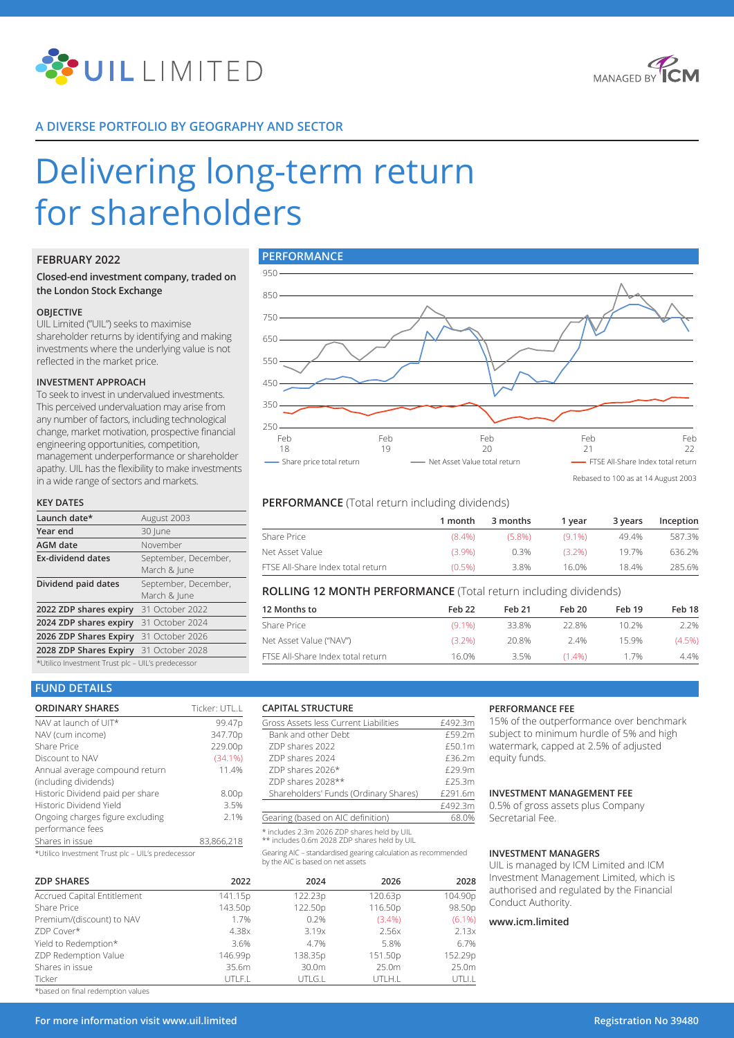



# **A DIVERSE PORTFOLIO BY GEOGRAPHY AND SECTOR**

# Delivering long-term return for shareholders

# **FEBRUARY 2022**

## **Closed-end investment company, traded on the London Stock Exchange**

#### **OBJECTIVE**

UIL Limited ("UIL") seeks to maximise shareholder returns by identifying and making investments where the underlying value is not reflected in the market price.

#### **INVESTMENT APPROACH**

To seek to invest in undervalued investments. This perceived undervaluation may arise from any number of factors, including technological change, market motivation, prospective financial engineering opportunities, competition, management underperformance or shareholder apathy. UIL has the flexibility to make investments in a wide range of sectors and markets.

#### **KEY DATES**

| Launch date*                                      | August 2003                          |  |  |
|---------------------------------------------------|--------------------------------------|--|--|
| Year end                                          | 30 June                              |  |  |
| <b>AGM</b> date                                   | November                             |  |  |
| <b>Ex-dividend dates</b>                          | September, December,<br>March & June |  |  |
| Dividend paid dates                               | September, December,<br>March & lune |  |  |
| 2022 ZDP shares expiry 31 October 2022            |                                      |  |  |
| 2024 ZDP shares expiry 31 October 2024            |                                      |  |  |
| 2026 ZDP Shares Expiry 31 October 2026            |                                      |  |  |
| 2028 ZDP Shares Expiry 31 October 2028            |                                      |  |  |
| *Utilico Investment Trust plc - UIL's predecessor |                                      |  |  |



Rebased to 100 as at 14 August 2003

# **PERFORMANCE** (Total return including dividends)

Gross Assets less Current Liabilities  $\frac{2492.3m}{6492.3m}$ Bank and other Debt  $£59.2m$ <br>  $ZDP$  shares 2022  $£50.1m$ 

ZDP shares 2024 **E36.2m** ZDP shares 2026\* <br>
E29.9m ZDP shares 2028\*\* <br>Shareholders' Funds (Ordinary Shares) £291.6m

Gearing AIC – standardised gearing calculation as recommended

Shareholders' Funds (Ordinary Shares)

Gearing (based on AIC definition) \* includes 2.3m 2026 ZDP shares held by UIL \*\* includes 0.6m 2028 ZDP shares held by UIL

by the AIC is based on net assets

|                                   | 1 month   | 3 months  | 1 vear    | 3 vears | Inception |
|-----------------------------------|-----------|-----------|-----------|---------|-----------|
| Share Price                       | $(8.4\%)$ | $(5.8\%)$ | $(9.1\%)$ | 49.4%   | 587.3%    |
| Net Asset Value                   | $(3.9\%)$ | $0.3\%$   | $(3.2\%)$ | 197%    | 636.2%    |
| FTSE All-Share Index total return | $(0.5\%)$ | 3.8%      | 16.0%     | 184%    | 285.6%    |

# **ROLLING 12 MONTH PERFORMANCE** (Total return including dividends)

| 12 Months to                      | Feb 22    | Feb 21 | Feb 20    | Feb 19 | Feb 18    |
|-----------------------------------|-----------|--------|-----------|--------|-----------|
| Share Price                       | $(9.1\%)$ | 33.8%  | 22.8%     | 10.2%  | 2.2%      |
| Net Asset Value ("NAV")           | $(3.2\%)$ | 20.8%  | 2.4%      | 159%   | $(4.5\%)$ |
| FTSE All-Share Index total return | 16.0%     | 3.5%   | $(1.4\%)$ | 1.7%   | 4.4%      |

 $rac{£492.3m}{68.0%}$ 

# **FUND DETAILS**

| <b>ORDINARY SHARES</b>                           | Ticker: UTL.L |
|--------------------------------------------------|---------------|
| NAV at launch of UIT*                            | 99.47p        |
| NAV (cum income)                                 | 347.70p       |
| <b>Share Price</b>                               | 229.00p       |
| Discount to NAV                                  | (34.1%        |
| Annual average compound return                   | 11.4%         |
| (including dividends)                            |               |
| Historic Dividend paid per share                 | 8.00p         |
| Historic Dividend Yield                          | 3.5%          |
| Ongoing charges figure excluding                 | 2.1%          |
| performance fees                                 |               |
| Shares in issue                                  | 83,866,218    |
| * Hilica Investment Trust play UII la prodocococ |               |

\*Utilico Investment Trust plc – UIL's predecessor

| <b>ZDP SHARES</b>           | 2022    | 2024    | 2026      | 2028      |
|-----------------------------|---------|---------|-----------|-----------|
| Accrued Capital Entitlement | 141.15p | 122.23p | 120.63p   | 104.90p   |
| Share Price                 | 143.50p | 122.50p | 116.50p   | 98.50p    |
| Premium/(discount) to NAV   | 1.7%    | 0.2%    | $(3.4\%)$ | $(6.1\%)$ |
| ZDP Cover*                  | 4.38x   | 3.19x   | 2.56x     | 2.13x     |
| Yield to Redemption*        | 3.6%    | 4.7%    | 5.8%      | 6.7%      |
| ZDP Redemption Value        | 146.99p | 138.35p | 151.50p   | 152.29p   |
| Shares in issue             | 35.6m   | 30.0m   | 25.0m     | 25.0m     |
| Ticker                      | UTLF.L  | UTLG.L  | UTLH.L    | UTLI.L    |

**CAPITAL STRUCTURE**

ZDP shares 2022

#### **PERFORMANCE FEE**

15% of the outperformance over benchmark subject to minimum hurdle of 5% and high watermark, capped at 2.5% of adjusted equity funds.

## **INVESTMENT MANAGEMENT FEE**

0.5% of gross assets plus Company Secretarial Fee.

#### **INVESTMENT MANAGERS**

UIL is managed by ICM Limited and ICM Ivestment Management Limited, which is uthorised and regulated by the Financial onduct Authority.

## **www.icm.limited**

\*based on final redemption values